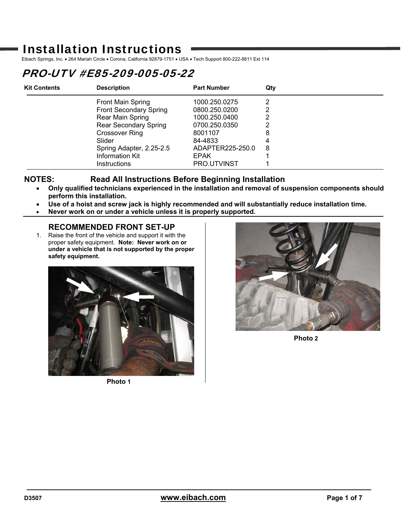# Installation Instructions

Eibach Springs, Inc. • 264 Mariah Circle • Corona, California 92879-1751 • USA • Tech Support 800-222-8811 Ext 114

# PRO-UTV #E85-209-005-05-22

| <b>Kit Contents</b> | <b>Description</b>            | <b>Part Number</b> | Qtv |
|---------------------|-------------------------------|--------------------|-----|
|                     | <b>Front Main Spring</b>      | 1000.250.0275      |     |
|                     | <b>Front Secondary Spring</b> | 0800.250.0200      | າ   |
|                     | Rear Main Spring              | 1000.250.0400      |     |
|                     | <b>Rear Secondary Spring</b>  | 0700.250.0350      |     |
|                     | Crossover Ring                | 8001107            | 8   |
|                     | Slider                        | 84-4833            |     |
|                     | Spring Adapter, 2.25-2.5      | ADAPTER225-250.0   | 8   |
|                     | Information Kit               | <b>EPAK</b>        |     |
|                     | <b>Instructions</b>           | PRO.UTVINST        |     |

## **NOTES: Read All Instructions Before Beginning Installation**

- **Only qualified technicians experienced in the installation and removal of suspension components should perform this installation.**
- **Use of a hoist and screw jack is highly recommended and will substantially reduce installation time.**
- **Never work on or under a vehicle unless it is properly supported.**

# **RECOMMENDED FRONT SET-UP**

1. Raise the front of the vehicle and support it with the proper safety equipment. **Note: Never work on or under a vehicle that is not supported by the proper safety equipment.** 



**Photo 1** 



**Photo 2**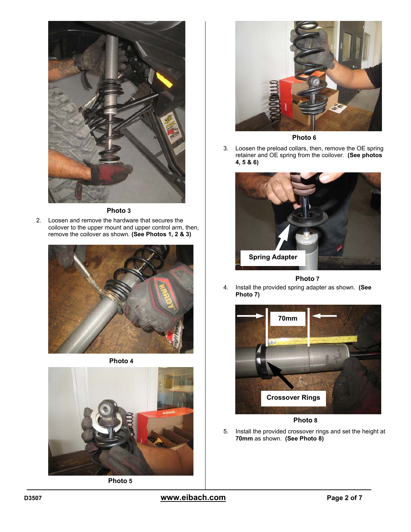

**Photo 3** 

2. Loosen and remove the hardware that secures the coilover to the upper mount and upper control arm, then, remove the coilover as shown. **(See Photos 1, 2 & 3)** 







**Photo 5** 



**Photo 6** 

3. Loosen the preload collars, then, remove the OE spring retainer and OE spring from the coilover. **(See photos 4, 5 & 6)** 



**Photo 7** 

4. Install the provided spring adapter as shown. **(See Photo 7)** 



**Photo 8** 

5. Install the provided crossover rings and set the height at **70mm** as shown. **(See Photo 8)**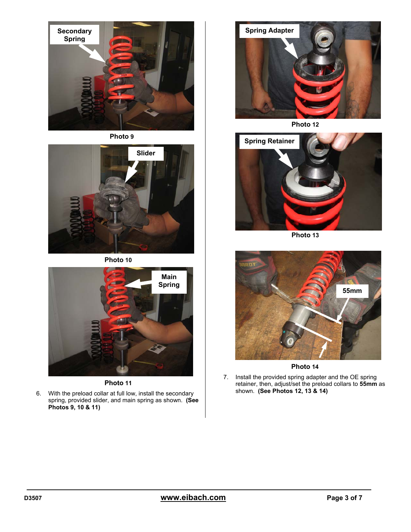

**Photo 9** 



**Photo 10** 



**Photo 11** 

6. With the preload collar at full low, install the secondary spring, provided slider, and main spring as shown. **(See Photos 9, 10 & 11)** 



**Photo 12** 



**Photo 13** 



**Photo 14** 

7. Install the provided spring adapter and the OE spring retainer, then, adjust/set the preload collars to **55mm** as shown. **(See Photos 12, 13 & 14)**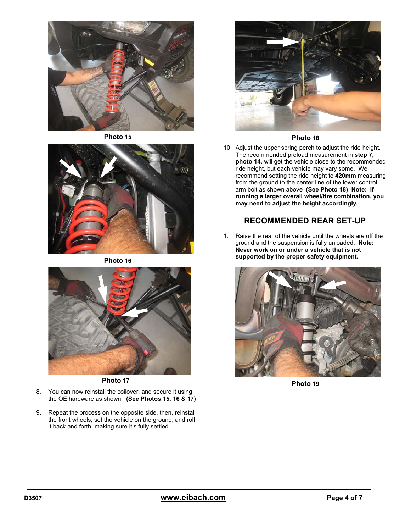

**Photo 15** 



**Photo 16** 



- 8. You can now reinstall the coilover, and secure it using the OE hardware as shown. **(See Photos 15, 16 & 17)**
- 9. Repeat the process on the opposite side, then, reinstall the front wheels, set the vehicle on the ground, and roll it back and forth, making sure it's fully settled.



### **Photo 18**

10. Adjust the upper spring perch to adjust the ride height. The recommended preload measurement in **step 7, photo 14,** will get the vehicle close to the recommended ride height, but each vehicle may vary some. We recommend setting the ride height to **420mm** measuring from the ground to the center line of the lower control arm bolt as shown above **(See Photo 18) Note: If running a larger overall wheel/tire combination, you may need to adjust the height accordingly.** 

## **RECOMMENDED REAR SET-UP**

1. Raise the rear of the vehicle until the wheels are off the ground and the suspension is fully unloaded. **Note: Never work on or under a vehicle that is not supported by the proper safety equipment.**



**Photo 19 Photo 17**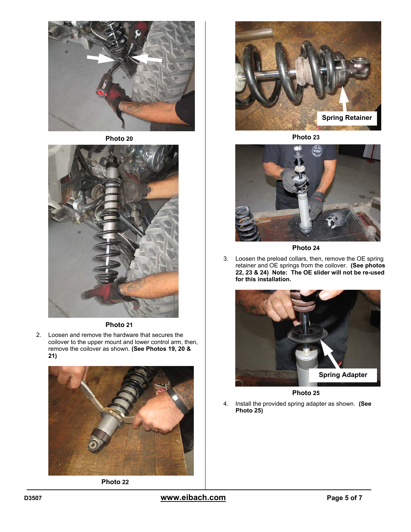

**Photo 20** 



### **Photo 21**

2. Loosen and remove the hardware that secures the coilover to the upper mount and lower control arm, then, remove the coilover as shown. **(See Photos 19, 20 & 21)** 



**Photo 22** 



**Photo 23** 



**Photo 24** 

3. Loosen the preload collars, then, remove the OE spring retainer and OE springs from the coilover. **(See photos 22, 23 & 24) Note: The OE slider will not be re-used for this installation.** 



**Photo 25** 

4. Install the provided spring adapter as shown. **(See Photo 25)**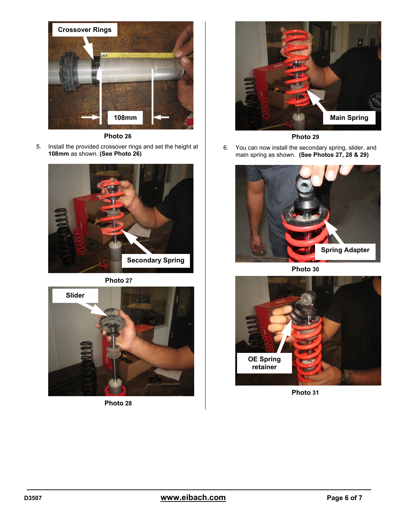

**Photo 26** 

5. Install the provided crossover rings and set the height at **108mm** as shown. **(See Photo 26)**







**Photo 28** 



**Photo 29** 

6. You can now install the secondary spring, slider, and main spring as shown. **(See Photos 27, 28 & 29)** 



**Photo 30** 



**Photo 31**